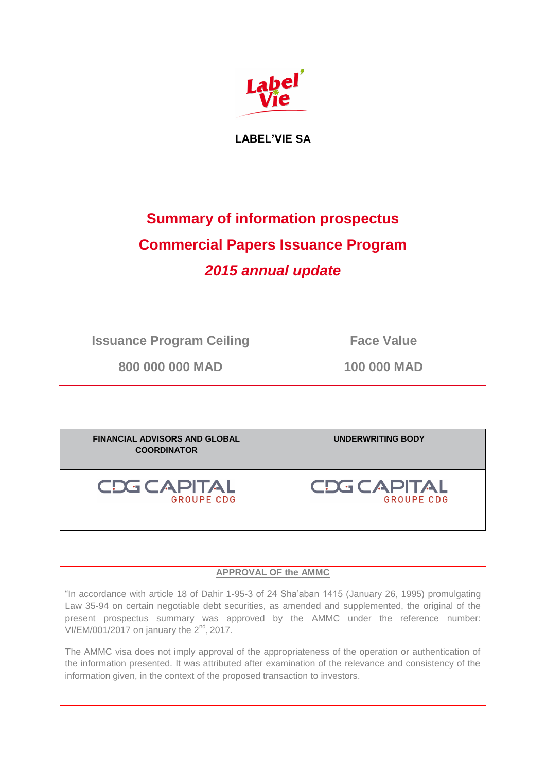

**LABEL'VIE SA**

# **Summary of information prospectus Commercial Papers Issuance Program** *2015 annual update*

**Issuance Program Ceiling Face Value** 

**800 000 000 MAD 100 000 MAD**

| <b>FINANCIAL ADVISORS AND GLOBAL</b><br><b>COORDINATOR</b> | UNDERWRITING BODY |
|------------------------------------------------------------|-------------------|
| <b>CDG CAPITAL</b>                                         | CDG CAPITAL       |
| <b>GROUPE CDG</b>                                          | <b>GROUPE CDG</b> |

### **APPROVAL OF the AMMC**

"In accordance with article 18 of Dahir 1-95-3 of 24 Sha'aban 1415 (January 26, 1995) promulgating Law 35-94 on certain negotiable debt securities, as amended and supplemented, the original of the present prospectus summary was approved by the AMMC under the reference number: VI/EM/001/2017 on january the  $2<sup>nd</sup>$ , 2017.

The AMMC visa does not imply approval of the appropriateness of the operation or authentication of the information presented. It was attributed after examination of the relevance and consistency of the information given, in the context of the proposed transaction to investors.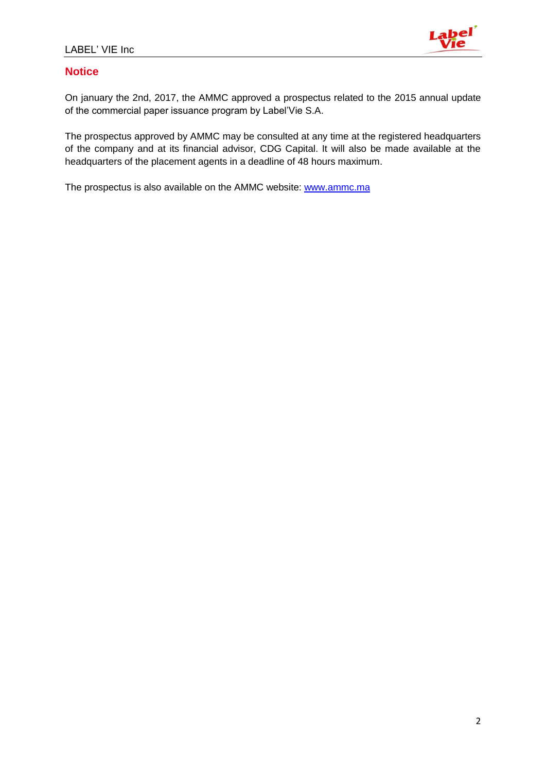

# **Notice**

On january the 2nd, 2017, the AMMC approved a prospectus related to the 2015 annual update of the commercial paper issuance program by Label'Vie S.A.

The prospectus approved by AMMC may be consulted at any time at the registered headquarters of the company and at its financial advisor, CDG Capital. It will also be made available at the headquarters of the placement agents in a deadline of 48 hours maximum.

The prospectus is also available on the AMMC website: [www.ammc.ma](http://www.ammc.ma/)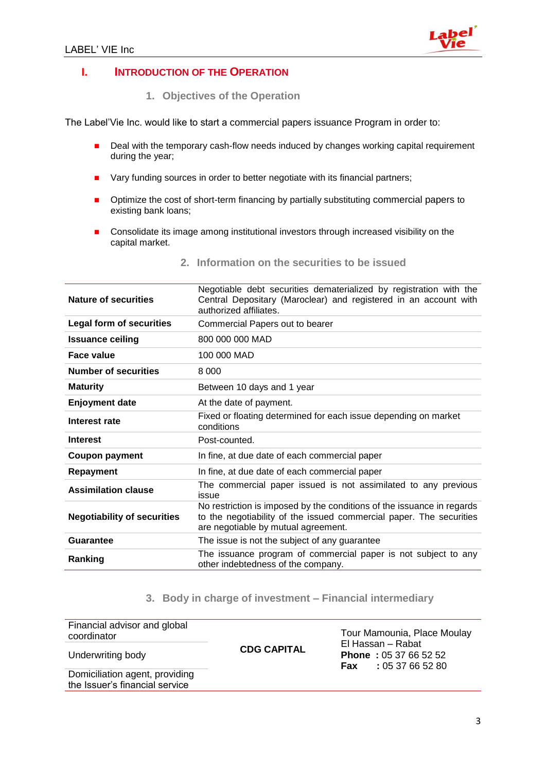

### **I. INTRODUCTION OF THE OPERATION**

**1. Objectives of the Operation** 

The Label'Vie Inc. would like to start a commercial papers issuance Program in order to:

- Deal with the temporary cash-flow needs induced by changes working capital requirement during the year;
- Vary funding sources in order to better negotiate with its financial partners;
- **•** Optimize the cost of short-term financing by partially substituting commercial papers to existing bank loans;
- Consolidate its image among institutional investors through increased visibility on the capital market.

| Nature of securities               | Negotiable debt securities dematerialized by registration with the<br>Central Depositary (Maroclear) and registered in an account with<br>authorized affiliates.                     |
|------------------------------------|--------------------------------------------------------------------------------------------------------------------------------------------------------------------------------------|
| <b>Legal form of securities</b>    | Commercial Papers out to bearer                                                                                                                                                      |
| <b>Issuance ceiling</b>            | 800 000 000 MAD                                                                                                                                                                      |
| Face value                         | 100 000 MAD                                                                                                                                                                          |
| <b>Number of securities</b>        | 8 0 0 0                                                                                                                                                                              |
| <b>Maturity</b>                    | Between 10 days and 1 year                                                                                                                                                           |
| <b>Enjoyment date</b>              | At the date of payment.                                                                                                                                                              |
| Interest rate                      | Fixed or floating determined for each issue depending on market<br>conditions                                                                                                        |
| <b>Interest</b>                    | Post-counted.                                                                                                                                                                        |
| <b>Coupon payment</b>              | In fine, at due date of each commercial paper                                                                                                                                        |
| <b>Repayment</b>                   | In fine, at due date of each commercial paper                                                                                                                                        |
| <b>Assimilation clause</b>         | The commercial paper issued is not assimilated to any previous<br>issue                                                                                                              |
| <b>Negotiability of securities</b> | No restriction is imposed by the conditions of the issuance in regards<br>to the negotiability of the issued commercial paper. The securities<br>are negotiable by mutual agreement. |
| <b>Guarantee</b>                   | The issue is not the subject of any guarantee                                                                                                                                        |
| Ranking                            | The issuance program of commercial paper is not subject to any<br>other indebtedness of the company.                                                                                 |

**2. Information on the securities to be issued**

### **3. Body in charge of investment – Financial intermediary**

| Financial advisor and global<br>coordinator                      |                    | Tour Mamounia, Place Moulay                                                      |
|------------------------------------------------------------------|--------------------|----------------------------------------------------------------------------------|
| Underwriting body                                                | <b>CDG CAPITAL</b> | El Hassan - Rabat<br><b>Phone: 05 37 66 52 52</b><br><b>Fax</b> : 05 37 66 52 80 |
| Domiciliation agent, providing<br>the Issuer's financial service |                    |                                                                                  |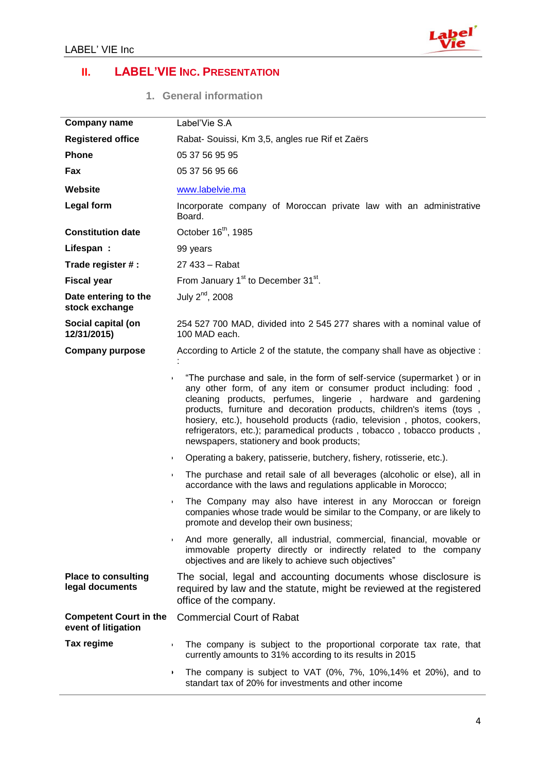

# **II. LABEL'VIE INC. PRESENTATION**

**1. General information** 

| <b>Company name</b>                                  | Label'Vie S.A                                                                                                                                                                                                                                                                                                                                                                                                                                                                                                   |
|------------------------------------------------------|-----------------------------------------------------------------------------------------------------------------------------------------------------------------------------------------------------------------------------------------------------------------------------------------------------------------------------------------------------------------------------------------------------------------------------------------------------------------------------------------------------------------|
| <b>Registered office</b>                             | Rabat- Souissi, Km 3,5, angles rue Rif et Zaërs                                                                                                                                                                                                                                                                                                                                                                                                                                                                 |
| <b>Phone</b>                                         | 05 37 56 95 95                                                                                                                                                                                                                                                                                                                                                                                                                                                                                                  |
| Fax                                                  | 05 37 56 95 66                                                                                                                                                                                                                                                                                                                                                                                                                                                                                                  |
| Website                                              | www.labelvie.ma                                                                                                                                                                                                                                                                                                                                                                                                                                                                                                 |
| <b>Legal form</b>                                    | Incorporate company of Moroccan private law with an administrative<br>Board.                                                                                                                                                                                                                                                                                                                                                                                                                                    |
| <b>Constitution date</b>                             | October 16 <sup>th</sup> , 1985                                                                                                                                                                                                                                                                                                                                                                                                                                                                                 |
| Lifespan:                                            | 99 years                                                                                                                                                                                                                                                                                                                                                                                                                                                                                                        |
| Trade register #:                                    | 27 433 - Rabat                                                                                                                                                                                                                                                                                                                                                                                                                                                                                                  |
| <b>Fiscal year</b>                                   | From January 1 <sup>st</sup> to December 31 <sup>st</sup> .                                                                                                                                                                                                                                                                                                                                                                                                                                                     |
| Date entering to the<br>stock exchange               | July $2nd$ , 2008                                                                                                                                                                                                                                                                                                                                                                                                                                                                                               |
| Social capital (on<br>12/31/2015)                    | 254 527 700 MAD, divided into 2 545 277 shares with a nominal value of<br>100 MAD each.                                                                                                                                                                                                                                                                                                                                                                                                                         |
| <b>Company purpose</b>                               | According to Article 2 of the statute, the company shall have as objective :                                                                                                                                                                                                                                                                                                                                                                                                                                    |
|                                                      | "The purchase and sale, in the form of self-service (supermarket) or in<br>$\blacktriangleright$<br>any other form, of any item or consumer product including: food,<br>cleaning products, perfumes, lingerie, hardware and gardening<br>products, furniture and decoration products, children's items (toys,<br>hosiery, etc.), household products (radio, television, photos, cookers,<br>refrigerators, etc.); paramedical products, tobacco, tobacco products,<br>newspapers, stationery and book products; |
|                                                      | Operating a bakery, patisserie, butchery, fishery, rotisserie, etc.).<br>$\blacktriangleright$                                                                                                                                                                                                                                                                                                                                                                                                                  |
|                                                      | The purchase and retail sale of all beverages (alcoholic or else), all in<br>$\blacktriangleright$<br>accordance with the laws and regulations applicable in Morocco;                                                                                                                                                                                                                                                                                                                                           |
|                                                      | The Company may also have interest in any Moroccan or foreign<br>$\blacktriangleright$<br>companies whose trade would be similar to the Company, or are likely to<br>promote and develop their own business;                                                                                                                                                                                                                                                                                                    |
|                                                      | And more generally, all industrial, commercial, financial, movable or<br>$\blacktriangleright$<br>immovable property directly or indirectly related to the company<br>objectives and are likely to achieve such objectives"                                                                                                                                                                                                                                                                                     |
| <b>Place to consulting</b><br>legal documents        | The social, legal and accounting documents whose disclosure is<br>required by law and the statute, might be reviewed at the registered<br>office of the company.                                                                                                                                                                                                                                                                                                                                                |
| <b>Competent Court in the</b><br>event of litigation | <b>Commercial Court of Rabat</b>                                                                                                                                                                                                                                                                                                                                                                                                                                                                                |
| Tax regime                                           | The company is subject to the proportional corporate tax rate, that<br>$\blacktriangleright$<br>currently amounts to 31% according to its results in 2015                                                                                                                                                                                                                                                                                                                                                       |
|                                                      | The company is subject to VAT (0%, 7%, 10%, 14% et 20%), and to<br>$\mathbf{F}$<br>standart tax of 20% for investments and other income                                                                                                                                                                                                                                                                                                                                                                         |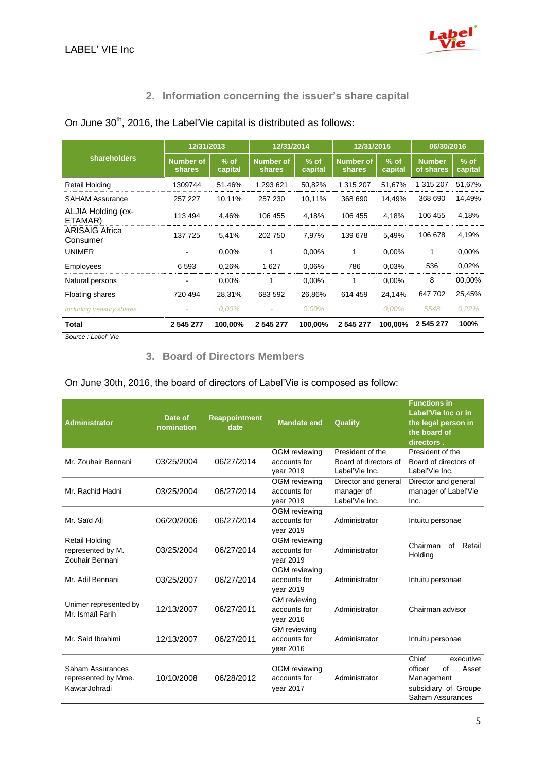

# **2. Information concerning the issuer's share capital**

|                                   | 12/31/2013                   |                   | 12/31/2014                        |                   | 12/31/2015                        |                   | 06/30/2016                 |                   |
|-----------------------------------|------------------------------|-------------------|-----------------------------------|-------------------|-----------------------------------|-------------------|----------------------------|-------------------|
| <b>shareholders</b>               | <b>Number of</b><br>shares   | $%$ of<br>capital | <b>Number of</b><br><b>shares</b> | $%$ of<br>capital | <b>Number of</b><br><b>shares</b> | $%$ of<br>capital | <b>Number</b><br>of shares | $%$ of<br>capital |
| Retail Holding                    | 1309744                      | 51,46%            | 1 293 621                         | 50,82%            | 1 315 207                         | 51,67%            | 1 315 207                  | 51,67%            |
| <b>SAHAM Assurance</b>            | 257 227                      | 10,11%            | 257 230                           | 10,11%            | 368 690                           | 14,49%            | 368 690                    | 14,49%            |
| ALJIA Holding (ex-<br>ETAMAR)     | 113 494                      | 4,46%             | 106 455                           | 4,18%             | 106 455                           | 4,18%             | 106 455                    | 4,18%             |
| <b>ARISAIG Africa</b><br>Consumer | 137 725                      | 5,41%             | 202 750                           | 7,97%             | 139 678                           | 5,49%             | 106 678                    | 4,19%             |
| <b>UNIMER</b>                     | ۰                            | 0,00%             |                                   | 0,00%             | 1                                 | 0,00%             | 1                          | 0,00%             |
| Employees                         | 6 5 9 3                      | 0,26%             | 1627                              | 0.06%             | 786                               | 0,03%             | 536                        | 0,02%             |
| Natural persons                   | $\qquad \qquad \blacksquare$ | 0.00%             |                                   | 0,00%             | 1                                 | 0,00%             | 8                          | 00,00%            |
| <b>Floating shares</b>            | 720 494                      | 28,31%            | 683 592                           | 26,86%            | 614 459                           | 24,14%            | 647 702                    | 25,45%            |
| Including treasury shares         |                              | $0.00\%$          |                                   | $0.00\%$          |                                   | $0.00\%$          | 5548                       | 0.22%             |
| Total                             | 2 545 277                    | 100,00%           | 2 545 277                         | 100,00%           | 2 545 277                         | 100,00%           | 2 545 277                  | 100%              |

# On June  $30<sup>th</sup>$ , 2016, the Label'Vie capital is distributed as follows:

*Source : Label' Vie*

### **3. Board of Directors Members**

On June 30th, 2016, the board of directors of Label'Vie is composed as follow:

| <b>Administrator</b>                                          | Date of<br>nomination | <b>Reappointment</b><br>date | <b>Mandate end</b>                               | Quality                                                     | <b>Functions in</b><br>Label'Vie Inc or in<br>the legal person in<br>the board of<br>directors.        |
|---------------------------------------------------------------|-----------------------|------------------------------|--------------------------------------------------|-------------------------------------------------------------|--------------------------------------------------------------------------------------------------------|
| Mr. Zouhair Bennani                                           | 03/25/2004            | 06/27/2014                   | OGM reviewing<br>accounts for<br>year 2019       | President of the<br>Board of directors of<br>Label'Vie Inc. | President of the<br>Board of directors of<br>Label'Vie Inc.                                            |
| Mr. Rachid Hadni                                              | 03/25/2004            | 06/27/2014                   | OGM reviewing<br>accounts for<br>year 2019       | Director and general<br>manager of<br>Label'Vie Inc.        | Director and general<br>manager of Label'Vie<br>Inc.                                                   |
| Mr. Saïd Alj                                                  | 06/20/2006            | 06/27/2014                   | OGM reviewing<br>accounts for<br>year 2019       | Administrator                                               | Intuitu personae                                                                                       |
| <b>Retail Holding</b><br>represented by M.<br>Zouhair Bennani | 03/25/2004            | 06/27/2014                   | OGM reviewing<br>accounts for<br>year 2019       | Administrator                                               | Chairman<br>Retail<br>of<br>Holding                                                                    |
| Mr. Adil Bennani                                              | 03/25/2007            | 06/27/2014                   | OGM reviewing<br>accounts for<br>year 2019       | Administrator                                               | Intuitu personae                                                                                       |
| Unimer represented by<br>Mr. Ismaïl Farih                     | 12/13/2007            | 06/27/2011                   | <b>GM</b> reviewing<br>accounts for<br>year 2016 | Administrator                                               | Chairman advisor                                                                                       |
| Mr. Said Ibrahimi                                             | 12/13/2007            | 06/27/2011                   | <b>GM</b> reviewing<br>accounts for<br>year 2016 | Administrator                                               | Intuitu personae                                                                                       |
| Saham Assurances<br>represented by Mme.<br>KawtarJohradi      | 10/10/2008            | 06/28/2012                   | OGM reviewing<br>accounts for<br>vear 2017       | Administrator                                               | Chief<br>executive<br>officer<br>of<br>Asset<br>Management<br>subsidiary of Groupe<br>Saham Assurances |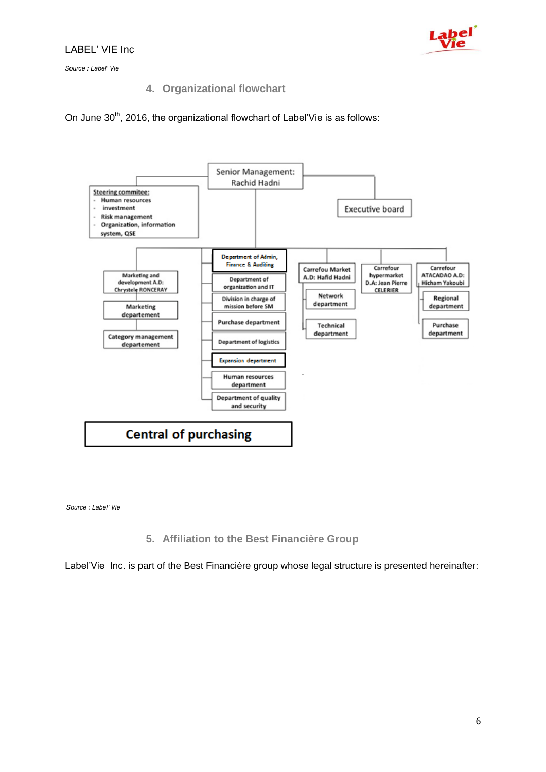

*Source : Label' Vie*

**4. Organizational flowchart**

On June 30<sup>th</sup>, 2016, the organizational flowchart of Label'Vie is as follows:



*Source : Label' Vie*

**5. Affiliation to the Best Financière Group**

Label'Vie Inc. is part of the Best Financière group whose legal structure is presented hereinafter: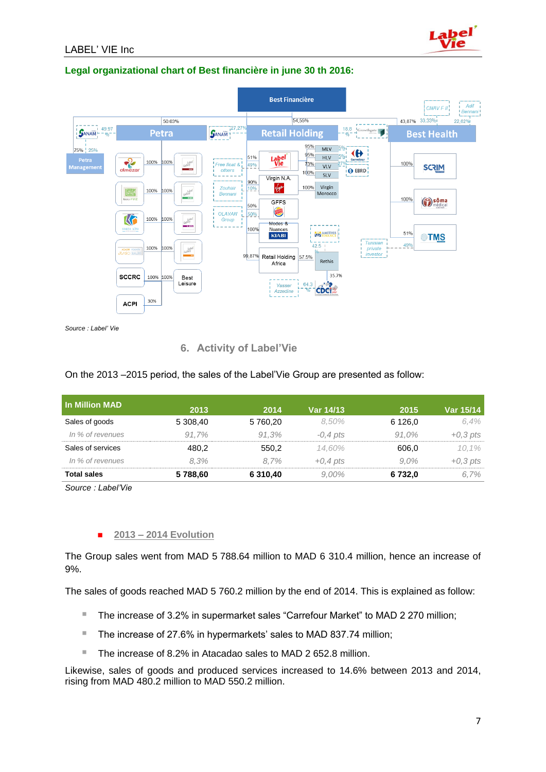# **Legal organizational chart of Best financière in june 30 th 2016:**



*Source : Label' Vie*

LABEL' VIE Inc

#### **6. Activity of Label'Vie**

#### On the 2013 –2015 period, the sales of the Label'Vie Group are presented as follow:

| l In Million MAD   |          |          |            |            |            |
|--------------------|----------|----------|------------|------------|------------|
|                    | 2013     | 2014     | Var 14/13  | 2015       | Var 15/14  |
| Sales of goods     | 5 308.40 | 5 760,20 | 8.50%      | 6 1 2 6 .0 | 6.4%       |
| In % of revenues   | 91.7%    | 91.3%    | $-0.4$ pts | 91.0%      | $+0.3$ pts |
| Sales of services  | 480,2    | 550.2    | 14.60%     | 606.0      | 10.1%      |
| In % of revenues   | 8.3%     | 8.7%     | $+0.4$ pts | $9.0\%$    | $+0.3$ pts |
| <b>Total sales</b> | 5788,60  | 6 310,40 | $9.00\%$   | 6732,0     | 6.7%       |

*Source : Label'Vie*

#### **2013 – 2014 Evolution**

The Group sales went from MAD 5 788.64 million to MAD 6 310.4 million, hence an increase of 9%.

The sales of goods reached MAD 5 760.2 million by the end of 2014. This is explained as follow:

- The increase of 3.2% in supermarket sales "Carrefour Market" to MAD 2 270 million;
- The increase of 27.6% in hypermarkets' sales to MAD 837.74 million;
- The increase of 8.2% in Atacadao sales to MAD 2 652.8 million.

Likewise, sales of goods and produced services increased to 14.6% between 2013 and 2014, rising from MAD 480.2 million to MAD 550.2 million.

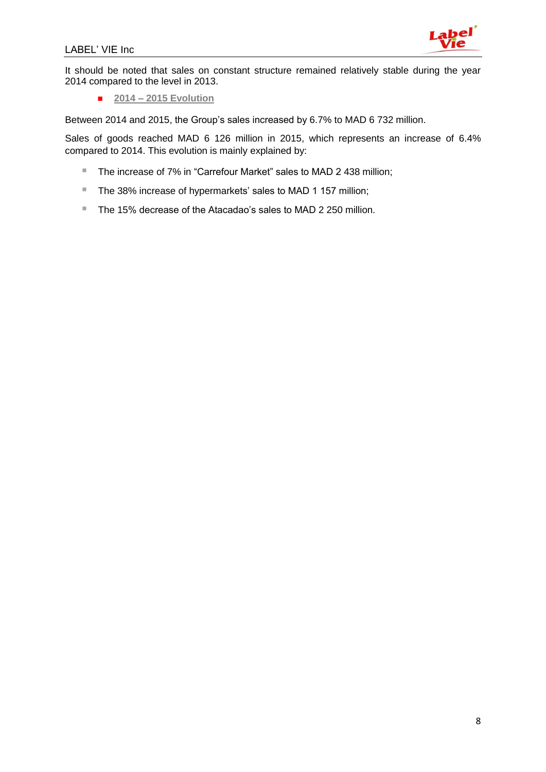

It should be noted that sales on constant structure remained relatively stable during the year 2014 compared to the level in 2013.

**2014 – 2015 Evolution**

Between 2014 and 2015, the Group's sales increased by 6.7% to MAD 6 732 million.

Sales of goods reached MAD 6 126 million in 2015, which represents an increase of 6.4% compared to 2014. This evolution is mainly explained by:

- The increase of 7% in "Carrefour Market" sales to MAD 2 438 million;
- The 38% increase of hypermarkets' sales to MAD 1 157 million;
- The 15% decrease of the Atacadao's sales to MAD 2 250 million.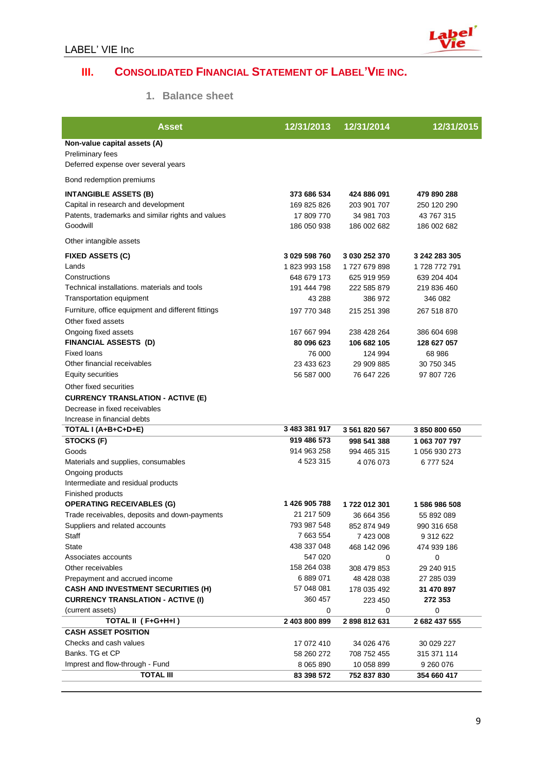

# **III. CONSOLIDATED FINANCIAL STATEMENT OF LABEL'VIE INC.**

### **1. Balance sheet**

| <b>Asset</b>                                       | 12/31/2013    | 12/31/2014    | 12/31/2015    |
|----------------------------------------------------|---------------|---------------|---------------|
| Non-value capital assets (A)                       |               |               |               |
| Preliminary fees                                   |               |               |               |
| Deferred expense over several years                |               |               |               |
| Bond redemption premiums                           |               |               |               |
| <b>INTANGIBLE ASSETS (B)</b>                       | 373 686 534   | 424 886 091   | 479 890 288   |
| Capital in research and development                | 169 825 826   | 203 901 707   | 250 120 290   |
| Patents, trademarks and similar rights and values  | 17 809 770    | 34 981 703    | 43 767 315    |
| Goodwill                                           | 186 050 938   | 186 002 682   | 186 002 682   |
| Other intangible assets                            |               |               |               |
| <b>FIXED ASSETS (C)</b>                            | 3 029 598 760 | 3 030 252 370 | 3 242 283 305 |
| Lands                                              | 1823 993 158  | 1727679898    | 1728 772 791  |
| Constructions                                      | 648 679 173   | 625 919 959   | 639 204 404   |
| Technical installations. materials and tools       | 191 444 798   | 222 585 879   | 219 836 460   |
| Transportation equipment                           | 43 288        | 386 972       | 346 082       |
| Furniture, office equipment and different fittings | 197 770 348   | 215 251 398   | 267 518 870   |
| Other fixed assets                                 |               |               |               |
| Ongoing fixed assets                               | 167 667 994   | 238 428 264   | 386 604 698   |
| <b>FINANCIAL ASSESTS (D)</b>                       | 80 096 623    | 106 682 105   | 128 627 057   |
| <b>Fixed loans</b>                                 |               |               |               |
| Other financial receivables                        | 76 000        | 124 994       | 68 986        |
|                                                    | 23 433 623    | 29 909 885    | 30 750 345    |
| Equity securities                                  | 56 587 000    | 76 647 226    | 97 807 726    |
| Other fixed securities                             |               |               |               |
| <b>CURRENCY TRANSLATION - ACTIVE (E)</b>           |               |               |               |
| Decrease in fixed receivables                      |               |               |               |
| Increase in financial debts                        |               |               |               |
| TOTAL I (A+B+C+D+E)                                | 3 483 381 917 | 3 561 820 567 | 3850800650    |
| STOCKS (F)                                         | 919 486 573   | 998 541 388   | 1 063 707 797 |
| Goods                                              | 914 963 258   | 994 465 315   | 1 056 930 273 |
| Materials and supplies, consumables                | 4 523 315     | 4 076 073     | 6777524       |
| Ongoing products                                   |               |               |               |
| Intermediate and residual products                 |               |               |               |
| Finished products                                  |               |               |               |
| <b>OPERATING RECEIVABLES (G)</b>                   | 1426 905 788  | 1722 012 301  | 1 586 986 508 |
| Trade receivables, deposits and down-payments      | 21 217 509    | 36 664 356    | 55 892 089    |
| Suppliers and related accounts                     | 793 987 548   | 852 874 949   | 990 316 658   |
| Staff                                              | 7 663 554     | 7 423 008     | 9 312 622     |
| State                                              | 438 337 048   | 468 142 096   | 474 939 186   |
| Associates accounts                                | 547 020       | 0             | 0             |
| Other receivables                                  | 158 264 038   | 308 479 853   | 29 240 915    |
| Prepayment and accrued income                      | 6889071       | 48 428 038    | 27 285 039    |
| <b>CASH AND INVESTMENT SECURITIES (H)</b>          | 57 048 081    | 178 035 492   | 31 470 897    |
| <b>CURRENCY TRANSLATION - ACTIVE (I)</b>           | 360 457       | 223 450       | 272 353       |
| (current assets)                                   | 0             | 0             | 0             |
| TOTAL II (F+G+H+I)                                 | 2 403 800 899 | 2898812631    | 2 682 437 555 |
| <b>CASH ASSET POSITION</b>                         |               |               |               |
| Checks and cash values                             | 17 072 410    | 34 026 476    | 30 029 227    |
| Banks. TG et CP                                    | 58 260 272    | 708 752 455   | 315 371 114   |
| Imprest and flow-through - Fund                    | 8 0 6 5 8 9 0 | 10 058 899    | 9 260 076     |
| <b>TOTAL III</b>                                   | 83 398 572    | 752 837 830   | 354 660 417   |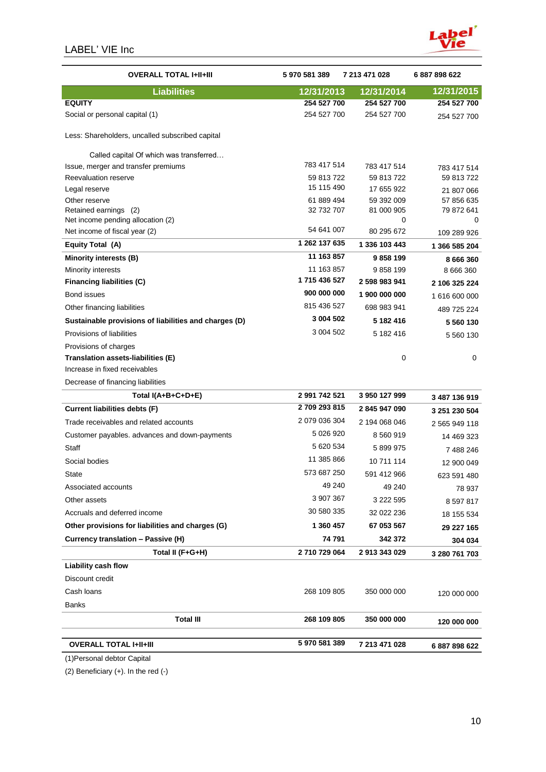

| <b>OVERALL TOTAL I+II+III</b>                              | 5970581389    | 7 213 471 028      | 6 887 898 622            |
|------------------------------------------------------------|---------------|--------------------|--------------------------|
| <b>Liabilities</b>                                         | 12/31/2013    | 12/31/2014         | 12/31/2015               |
| <b>EQUITY</b>                                              | 254 527 700   | 254 527 700        | 254 527 700              |
| Social or personal capital (1)                             | 254 527 700   | 254 527 700        | 254 527 700              |
| Less: Shareholders, uncalled subscribed capital            |               |                    |                          |
| Called capital Of which was transferred                    |               |                    |                          |
| Issue, merger and transfer premiums                        | 783 417 514   | 783 417 514        | 783 417 514              |
| Reevaluation reserve                                       | 59 813 722    | 59 813 722         | 59 813 722               |
| Legal reserve                                              | 15 115 490    | 17 655 922         | 21 807 066               |
| Other reserve                                              | 61 889 494    | 59 392 009         | 57 856 635               |
| Retained earnings (2)<br>Net income pending allocation (2) | 32 732 707    | 81 000 905<br>0    | 79 872 641<br>0          |
| Net income of fiscal year (2)                              | 54 641 007    | 80 295 672         |                          |
|                                                            | 1 262 137 635 |                    | 109 289 926              |
| Equity Total (A)                                           | 11 163 857    | 1 336 103 443      | 1 366 585 204            |
| Minority interests (B)                                     | 11 163 857    | 9858199<br>9858199 | 8 666 360                |
| Minority interests<br><b>Financing liabilities (C)</b>     | 1715 436 527  | 2 598 983 941      | 8 666 360                |
| Bond issues                                                | 900 000 000   | 1 900 000 000      | 2 106 325 224            |
| Other financing liabilities                                | 815 436 527   | 698 983 941        | 1616600000               |
| Sustainable provisions of liabilities and charges (D)      | 3 004 502     | 5 182 416          | 489 725 224<br>5 560 130 |
| Provisions of liabilities                                  | 3 004 502     | 5 182 416          | 5 560 130                |
| Provisions of charges                                      |               |                    |                          |
| Translation assets-liabilities (E)                         |               | $\mathbf 0$        | 0                        |
| Increase in fixed receivables                              |               |                    |                          |
| Decrease of financing liabilities                          |               |                    |                          |
| Total I(A+B+C+D+E)                                         | 2 991 742 521 | 3 950 127 999      | 3 487 136 919            |
| <b>Current liabilities debts (F)</b>                       | 2709 293 815  | 2845947090         | 3 251 230 504            |
| Trade receivables and related accounts                     | 2 079 036 304 | 2 194 068 046      | 2 565 949 118            |
| Customer payables. advances and down-payments              | 5 026 920     | 8 560 919          | 14 469 323               |
| Staff                                                      | 5 620 534     | 5899975            | 7 488 246                |
| Social bodies                                              | 11 385 866    | 10 711 114         | 12 900 049               |
| <b>State</b>                                               | 573 687 250   | 591 412 966        | 623 591 480              |
| Associated accounts                                        | 49 240        | 49 240             | 78 937                   |
| Other assets                                               | 3 907 367     | 3 222 595          | 8 597 817                |
| Accruals and deferred income                               | 30 580 335    | 32 022 236         | 18 155 534               |
| Other provisions for liabilities and charges (G)           | 1 360 457     | 67 053 567         | 29 227 165               |
| Currency translation - Passive (H)                         | 74 791        | 342 372            | 304 034                  |
| Total II (F+G+H)                                           | 2710729064    | 2913343029         | 3 280 761 703            |
| Liability cash flow                                        |               |                    |                          |
| Discount credit                                            |               |                    |                          |
| Cash loans                                                 | 268 109 805   | 350 000 000        | 120 000 000              |
| <b>Banks</b>                                               |               |                    |                          |
| <b>Total III</b>                                           | 268 109 805   | 350 000 000        | 120 000 000              |
|                                                            |               |                    |                          |
| <b>OVERALL TOTAL I+II+III</b>                              | 5 970 581 389 | 7 213 471 028      | 6887898622               |

(1)Personal debtor Capital

(2) Beneficiary (+). In the red (-)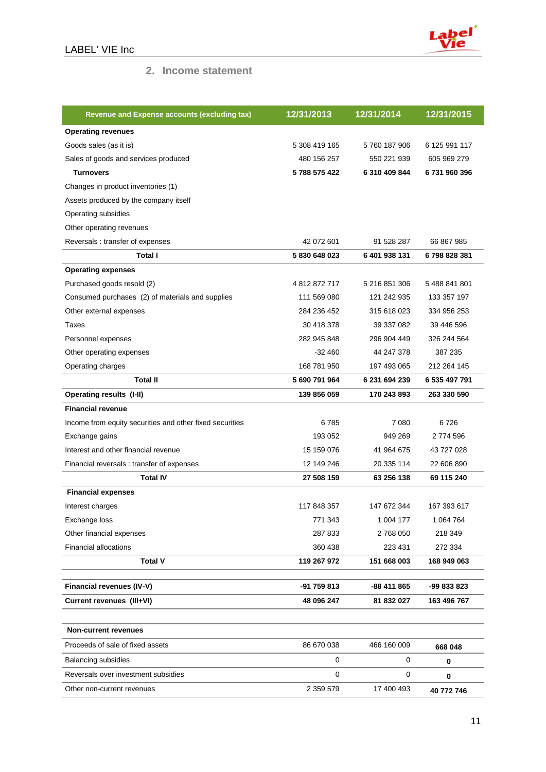

### **2. Income statement**

| <b>Revenue and Expense accounts (excluding tax)</b>      | 12/31/2013    | 12/31/2014    | 12/31/2015    |
|----------------------------------------------------------|---------------|---------------|---------------|
| <b>Operating revenues</b>                                |               |               |               |
| Goods sales (as it is)                                   | 5 308 419 165 | 5760 187 906  | 6 125 991 117 |
| Sales of goods and services produced                     | 480 156 257   | 550 221 939   | 605 969 279   |
| <b>Turnovers</b>                                         | 5788 575 422  | 6 310 409 844 | 6731960396    |
| Changes in product inventories (1)                       |               |               |               |
| Assets produced by the company itself                    |               |               |               |
| Operating subsidies                                      |               |               |               |
| Other operating revenues                                 |               |               |               |
| Reversals: transfer of expenses                          | 42 072 601    | 91 528 287    | 66 867 985    |
| Total I                                                  | 5 830 648 023 | 6 401 938 131 | 6798828381    |
| <b>Operating expenses</b>                                |               |               |               |
| Purchased goods resold (2)                               | 4 812 872 717 | 5 216 851 306 | 5 488 841 801 |
| Consumed purchases (2) of materials and supplies         | 111 569 080   | 121 242 935   | 133 357 197   |
| Other external expenses                                  | 284 236 452   | 315 618 023   | 334 956 253   |
| Taxes                                                    | 30 418 378    | 39 337 082    | 39 446 596    |
| Personnel expenses                                       | 282 945 848   | 296 904 449   | 326 244 564   |
| Other operating expenses                                 | $-32460$      | 44 247 378    | 387 235       |
| Operating charges                                        | 168 781 950   | 197 493 065   | 212 264 145   |
| <b>Total II</b>                                          | 5 690 791 964 | 6 231 694 239 | 6 535 497 791 |
| <b>Operating results (I-II)</b>                          | 139 856 059   | 170 243 893   | 263 330 590   |
| <b>Financial revenue</b>                                 |               |               |               |
| Income from equity securities and other fixed securities | 6785          | 7 0 8 0       | 6726          |
| Exchange gains                                           | 193 052       | 949 269       | 2 774 596     |
| Interest and other financial revenue                     | 15 159 076    | 41 964 675    | 43 727 028    |
| Financial reversals: transfer of expenses                | 12 149 246    | 20 335 114    | 22 606 890    |
| <b>Total IV</b>                                          | 27 508 159    | 63 256 138    | 69 115 240    |
| <b>Financial expenses</b>                                |               |               |               |
| Interest charges                                         | 117 848 357   | 147 672 344   | 167 393 617   |
| Exchange loss                                            | 771 343       | 1 004 177     | 1 064 764     |
| Other financial expenses                                 | 287 833       | 2768050       | 218 349       |
| <b>Financial allocations</b>                             | 360 438       | 223 431       | 272 334       |
| <b>Total V</b>                                           | 119 267 972   | 151 668 003   | 168 949 063   |
| Financial revenues (IV-V)                                | -91 759 813   | -88 411 865   | -99 833 823   |
| Current revenues (III+VI)                                | 48 096 247    | 81 832 027    | 163 496 767   |
|                                                          |               |               |               |
| <b>Non-current revenues</b>                              |               |               |               |
| Proceeds of sale of fixed assets                         | 86 670 038    | 466 160 009   | 668 048       |
| <b>Balancing subsidies</b>                               | 0             | 0             | 0             |
| Reversals over investment subsidies                      | 0             | 0             | 0             |
| Other non-current revenues                               | 2 359 579     | 17 400 493    | 40 772 746    |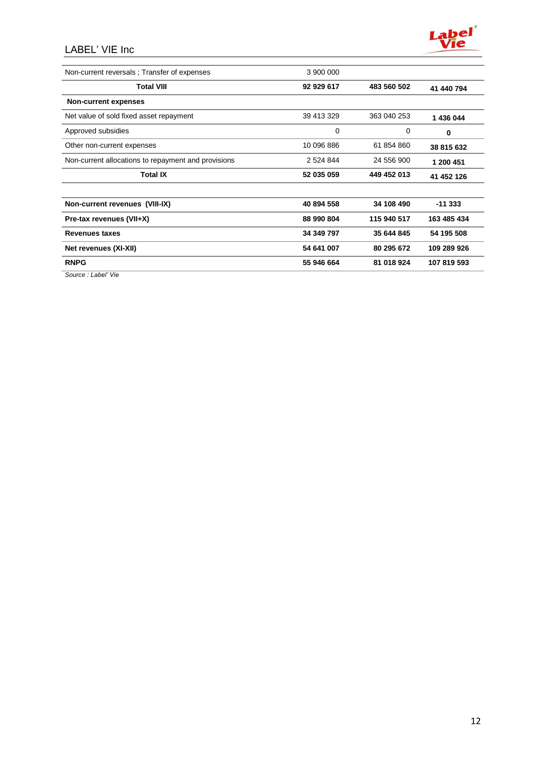# LABEL' VIE Inc



| Non-current reversals; Transfer of expenses         | 3 900 000  |             |             |
|-----------------------------------------------------|------------|-------------|-------------|
| <b>Total VIII</b>                                   | 92 929 617 | 483 560 502 | 41 440 794  |
| <b>Non-current expenses</b>                         |            |             |             |
| Net value of sold fixed asset repayment             | 39 413 329 | 363 040 253 | 1 436 044   |
| Approved subsidies                                  | 0          | 0           | 0           |
| Other non-current expenses                          | 10 096 886 | 61 854 860  | 38 815 632  |
| Non-current allocations to repayment and provisions | 2 524 844  | 24 556 900  | 1 200 451   |
| <b>Total IX</b>                                     | 52 035 059 | 449 452 013 | 41 452 126  |
| Non-current revenues (VIII-IX)                      | 40 894 558 | 34 108 490  | $-11333$    |
| Pre-tax revenues (VII+X)                            | 88 990 804 | 115 940 517 | 163 485 434 |
| <b>Revenues taxes</b>                               | 34 349 797 | 35 644 845  | 54 195 508  |
| Net revenues (XI-XII)                               | 54 641 007 | 80 295 672  | 109 289 926 |
| <b>RNPG</b>                                         | 55 946 664 | 81 018 924  | 107 819 593 |
|                                                     |            |             |             |

*Source : Label' Vie*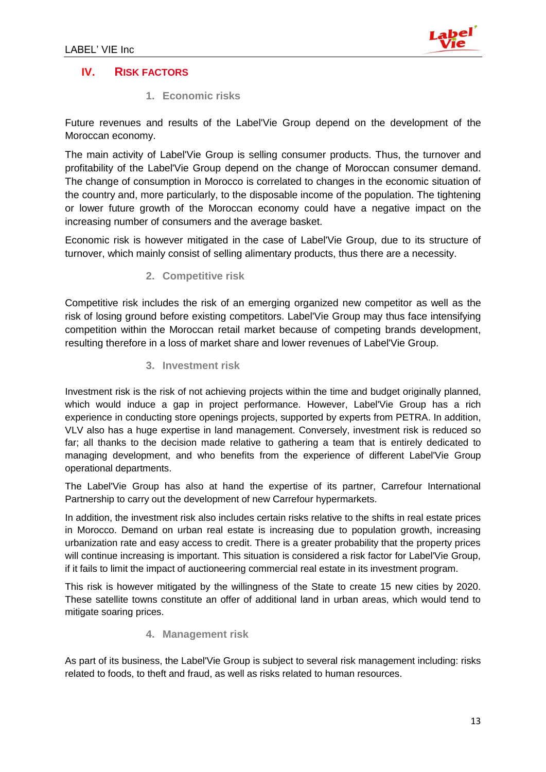

# **IV. RISK FACTORS**

**1. Economic risks** 

Future revenues and results of the Label'Vie Group depend on the development of the Moroccan economy.

The main activity of Label'Vie Group is selling consumer products. Thus, the turnover and profitability of the Label'Vie Group depend on the change of Moroccan consumer demand. The change of consumption in Morocco is correlated to changes in the economic situation of the country and, more particularly, to the disposable income of the population. The tightening or lower future growth of the Moroccan economy could have a negative impact on the increasing number of consumers and the average basket.

Economic risk is however mitigated in the case of Label'Vie Group, due to its structure of turnover, which mainly consist of selling alimentary products, thus there are a necessity.

### **2. Competitive risk**

Competitive risk includes the risk of an emerging organized new competitor as well as the risk of losing ground before existing competitors. Label'Vie Group may thus face intensifying competition within the Moroccan retail market because of competing brands development, resulting therefore in a loss of market share and lower revenues of Label'Vie Group.

### **3. Investment risk**

Investment risk is the risk of not achieving projects within the time and budget originally planned, which would induce a gap in project performance. However, Label'Vie Group has a rich experience in conducting store openings projects, supported by experts from PETRA. In addition, VLV also has a huge expertise in land management. Conversely, investment risk is reduced so far; all thanks to the decision made relative to gathering a team that is entirely dedicated to managing development, and who benefits from the experience of different Label'Vie Group operational departments.

The Label'Vie Group has also at hand the expertise of its partner, Carrefour International Partnership to carry out the development of new Carrefour hypermarkets.

In addition, the investment risk also includes certain risks relative to the shifts in real estate prices in Morocco. Demand on urban real estate is increasing due to population growth, increasing urbanization rate and easy access to credit. There is a greater probability that the property prices will continue increasing is important. This situation is considered a risk factor for Label'Vie Group, if it fails to limit the impact of auctioneering commercial real estate in its investment program.

This risk is however mitigated by the willingness of the State to create 15 new cities by 2020. These satellite towns constitute an offer of additional land in urban areas, which would tend to mitigate soaring prices.

### **4. Management risk**

As part of its business, the Label'Vie Group is subject to several risk management including: risks related to foods, to theft and fraud, as well as risks related to human resources.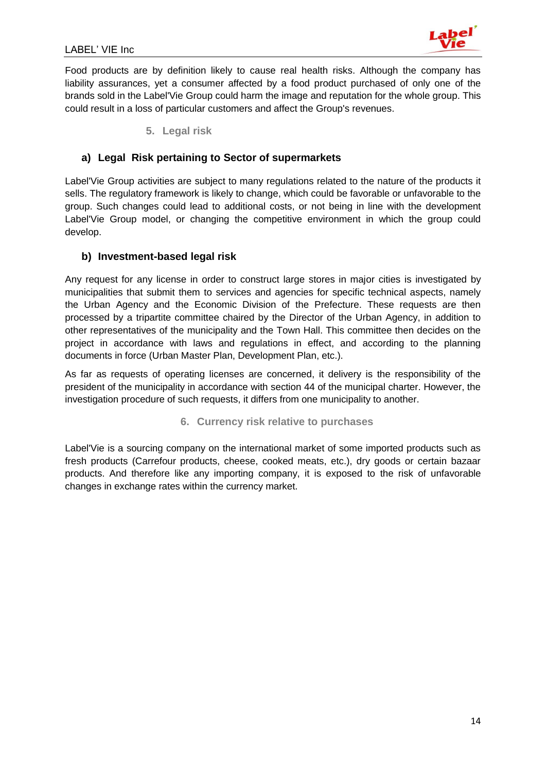Food products are by definition likely to cause real health risks. Although the company has liability assurances, yet a consumer affected by a food product purchased of only one of the brands sold in the Label'Vie Group could harm the image and reputation for the whole group. This could result in a loss of particular customers and affect the Group's revenues.

**5. Legal risk** 

### **a) Legal Risk pertaining to Sector of supermarkets**

Label'Vie Group activities are subject to many regulations related to the nature of the products it sells. The regulatory framework is likely to change, which could be favorable or unfavorable to the group. Such changes could lead to additional costs, or not being in line with the development Label'Vie Group model, or changing the competitive environment in which the group could develop.

### **b) Investment-based legal risk**

Any request for any license in order to construct large stores in major cities is investigated by municipalities that submit them to services and agencies for specific technical aspects, namely the Urban Agency and the Economic Division of the Prefecture. These requests are then processed by a tripartite committee chaired by the Director of the Urban Agency, in addition to other representatives of the municipality and the Town Hall. This committee then decides on the project in accordance with laws and regulations in effect, and according to the planning documents in force (Urban Master Plan, Development Plan, etc.).

As far as requests of operating licenses are concerned, it delivery is the responsibility of the president of the municipality in accordance with section 44 of the municipal charter. However, the investigation procedure of such requests, it differs from one municipality to another.

#### **6. Currency risk relative to purchases**

Label'Vie is a sourcing company on the international market of some imported products such as fresh products (Carrefour products, cheese, cooked meats, etc.), dry goods or certain bazaar products. And therefore like any importing company, it is exposed to the risk of unfavorable changes in exchange rates within the currency market.